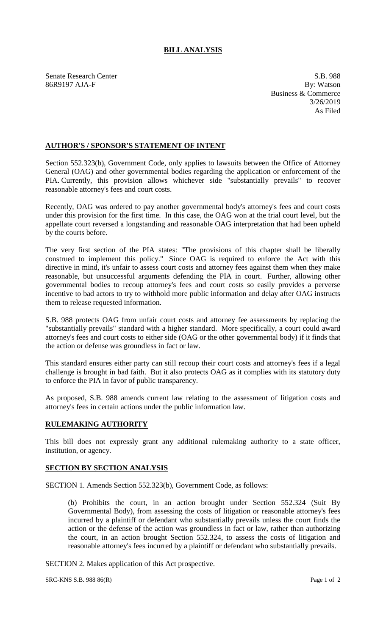## **BILL ANALYSIS**

Senate Research Center S.B. 988<br>
S.B. 988<br>
By: Watson<br>
By: Watson 86R9197 AJA-F

Business & Commerce 3/26/2019 As Filed

## **AUTHOR'S / SPONSOR'S STATEMENT OF INTENT**

Section 552.323(b), Government Code, only applies to lawsuits between the Office of Attorney General (OAG) and other governmental bodies regarding the application or enforcement of the PIA. Currently, this provision allows whichever side "substantially prevails" to recover reasonable attorney's fees and court costs.

Recently, OAG was ordered to pay another governmental body's attorney's fees and court costs under this provision for the first time. In this case, the OAG won at the trial court level, but the appellate court reversed a longstanding and reasonable OAG interpretation that had been upheld by the courts before.

The very first section of the PIA states: "The provisions of this chapter shall be liberally construed to implement this policy." Since OAG is required to enforce the Act with this directive in mind, it's unfair to assess court costs and attorney fees against them when they make reasonable, but unsuccessful arguments defending the PIA in court. Further, allowing other governmental bodies to recoup attorney's fees and court costs so easily provides a perverse incentive to bad actors to try to withhold more public information and delay after OAG instructs them to release requested information.

S.B. 988 protects OAG from unfair court costs and attorney fee assessments by replacing the "substantially prevails" standard with a higher standard. More specifically, a court could award attorney's fees and court costs to either side (OAG or the other governmental body) if it finds that the action or defense was groundless in fact or law.

This standard ensures either party can still recoup their court costs and attorney's fees if a legal challenge is brought in bad faith. But it also protects OAG as it complies with its statutory duty to enforce the PIA in favor of public transparency.

As proposed, S.B. 988 amends current law relating to the assessment of litigation costs and attorney's fees in certain actions under the public information law.

## **RULEMAKING AUTHORITY**

This bill does not expressly grant any additional rulemaking authority to a state officer, institution, or agency.

## **SECTION BY SECTION ANALYSIS**

SECTION 1. Amends Section 552.323(b), Government Code, as follows:

(b) Prohibits the court, in an action brought under Section 552.324 (Suit By Governmental Body), from assessing the costs of litigation or reasonable attorney's fees incurred by a plaintiff or defendant who substantially prevails unless the court finds the action or the defense of the action was groundless in fact or law, rather than authorizing the court, in an action brought Section 552.324, to assess the costs of litigation and reasonable attorney's fees incurred by a plaintiff or defendant who substantially prevails.

SECTION 2. Makes application of this Act prospective.